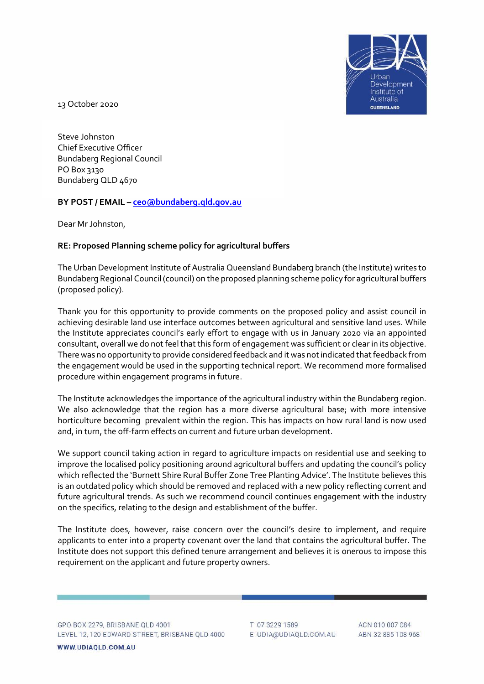

13 October 2020

Steve Johnston Chief Executive Officer Bundaberg Regional Council PO Box 3130 Bundaberg QLD 4670

## **BY POST / EMAIL – ceo@bundaberg.qld.gov.au**

Dear Mr Johnston,

## **RE: Proposed Planning scheme policy for agricultural buffers**

The Urban Development Institute of Australia Queensland Bundaberg branch (the Institute) writes to Bundaberg Regional Council (council) on the proposed planning scheme policy for agricultural buffers (proposed policy).

Thank you for this opportunity to provide comments on the proposed policy and assist council in achieving desirable land use interface outcomes between agricultural and sensitive land uses. While the Institute appreciates council's early effort to engage with us in January 2020 via an appointed consultant, overall we do not feel that this form of engagement was sufficient or clear in its objective. There was no opportunity to provide considered feedback and it was not indicated that feedback from the engagement would be used in the supporting technical report. We recommend more formalised procedure within engagement programs in future.

The Institute acknowledges the importance of the agricultural industry within the Bundaberg region. We also acknowledge that the region has a more diverse agricultural base; with more intensive horticulture becoming prevalent within the region. This has impacts on how rural land is now used and, in turn, the off-farm effects on current and future urban development.

We support council taking action in regard to agriculture impacts on residential use and seeking to improve the localised policy positioning around agricultural buffers and updating the council's policy which reflected the 'Burnett Shire Rural Buffer Zone Tree Planting Advice'. The Institute believes this is an outdated policy which should be removed and replaced with a new policy reflecting current and future agricultural trends. As such we recommend council continues engagement with the industry on the specifics, relating to the design and establishment of the buffer.

The Institute does, however, raise concern over the council's desire to implement, and require applicants to enter into a property covenant over the land that contains the agricultural buffer. The Institute does not support this defined tenure arrangement and believes it is onerous to impose this requirement on the applicant and future property owners.

GPO BOX 2279, BRISBANE QLD 4001 LEVEL 12, 120 EDWARD STREET, BRISBANE QLD 4000

WWW.UDIAQLD.COM.AU

T 07 3229 1589 E UDIA@UDIAQLD.COM.AU

ACN 010 007 084 ABN 32 885 108 968